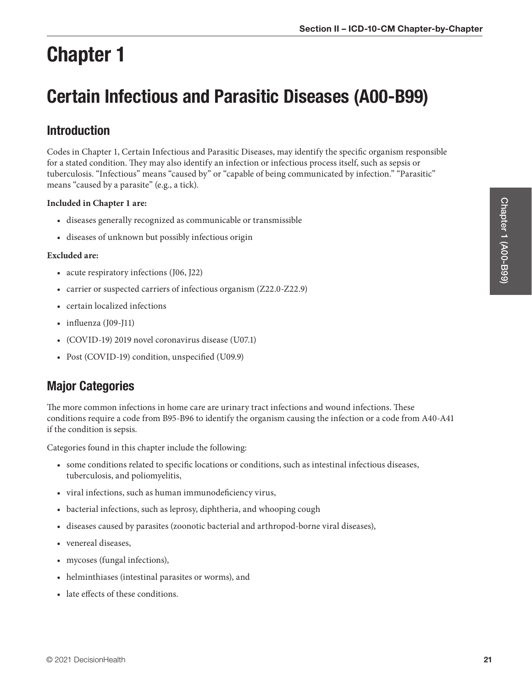# Chapter 1

# Certain Infectious and Parasitic Diseases (A00-B99)

# Introduction

Codes in Chapter 1, Certain Infectious and Parasitic Diseases, may identify the specific organism responsible for a stated condition. They may also identify an infection or infectious process itself, such as sepsis or tuberculosis. "Infectious" means "caused by" or "capable of being communicated by infection." "Parasitic" means "caused by a parasite" (e.g., a tick).

### **Included in Chapter 1 are:**

- diseases generally recognized as communicable or transmissible
- diseases of unknown but possibly infectious origin

#### **Excluded are:**

- acute respiratory infections (J06, J22)
- carrier or suspected carriers of infectious organism (Z22.0-Z22.9)
- certain localized infections
- influenza (J09-J11)
- (COVID-19) 2019 novel coronavirus disease (U07.1)
- Post (COVID-19) condition, unspecified (U09.9)

# Major Categories

The more common infections in home care are urinary tract infections and wound infections. These conditions require a code from B95-B96 to identify the organism causing the infection or a code from A40-A41 if the condition is sepsis.

Categories found in this chapter include the following:

- some conditions related to specific locations or conditions, such as intestinal infectious diseases, tuberculosis, and poliomyelitis,
- viral infections, such as human immunodeficiency virus,
- bacterial infections, such as leprosy, diphtheria, and whooping cough
- diseases caused by parasites (zoonotic bacterial and arthropod-borne viral diseases),
- venereal diseases,
- mycoses (fungal infections),
- helminthiases (intestinal parasites or worms), and
- late effects of these conditions.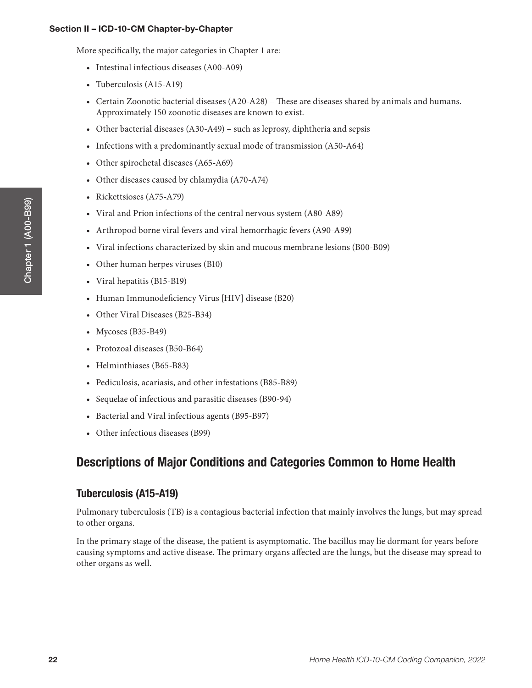More specifically, the major categories in Chapter 1 are:

- Intestinal infectious diseases (A00-A09)
- Tuberculosis (A15-A19)
- Certain Zoonotic bacterial diseases (A20-A28) These are diseases shared by animals and humans. Approximately 150 zoonotic diseases are known to exist.
- Other bacterial diseases (A30-A49) such as leprosy, diphtheria and sepsis
- Infections with a predominantly sexual mode of transmission (A50-A64)
- Other spirochetal diseases (A65-A69)
- Other diseases caused by chlamydia (A70-A74)
- Rickettsioses (A75-A79)
- Viral and Prion infections of the central nervous system (A80-A89)
- Arthropod borne viral fevers and viral hemorrhagic fevers (A90-A99)
- Viral infections characterized by skin and mucous membrane lesions (B00-B09)
- Other human herpes viruses (B10)
- Viral hepatitis (B15-B19)
- Human Immunodeficiency Virus [HIV] disease (B20)
- Other Viral Diseases (B25-B34)
- Mycoses (B35-B49)
- Protozoal diseases (B50-B64)
- Helminthiases (B65-B83)
- Pediculosis, acariasis, and other infestations (B85-B89)
- Sequelae of infectious and parasitic diseases (B90-94)
- Bacterial and Viral infectious agents (B95-B97)
- Other infectious diseases (B99)

# Descriptions of Major Conditions and Categories Common to Home Health

# Tuberculosis (A15-A19)

Pulmonary tuberculosis (TB) is a contagious bacterial infection that mainly involves the lungs, but may spread to other organs.

In the primary stage of the disease, the patient is asymptomatic. The bacillus may lie dormant for years before causing symptoms and active disease. The primary organs affected are the lungs, but the disease may spread to other organs as well.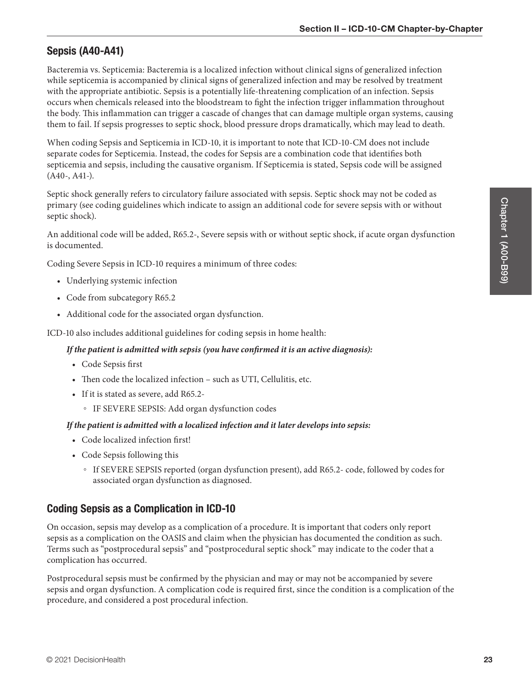## Sepsis (A40-A41)

Bacteremia vs. Septicemia: Bacteremia is a localized infection without clinical signs of generalized infection while septicemia is accompanied by clinical signs of generalized infection and may be resolved by treatment with the appropriate antibiotic. Sepsis is a potentially life-threatening complication of an infection. Sepsis occurs when chemicals released into the bloodstream to fight the infection trigger inflammation throughout the body. This inflammation can trigger a cascade of changes that can damage multiple organ systems, causing them to fail. If sepsis progresses to septic shock, blood pressure drops dramatically, which may lead to death.

When coding Sepsis and Septicemia in ICD-10, it is important to note that ICD-10-CM does not include separate codes for Septicemia. Instead, the codes for Sepsis are a combination code that identifies both septicemia and sepsis, including the causative organism. If Septicemia is stated, Sepsis code will be assigned (A40-, A41-).

Septic shock generally refers to circulatory failure associated with sepsis. Septic shock may not be coded as primary (see coding guidelines which indicate to assign an additional code for severe sepsis with or without septic shock).

An additional code will be added, R65.2-, Severe sepsis with or without septic shock, if acute organ dysfunction is documented.

Coding Severe Sepsis in ICD-10 requires a minimum of three codes:

- Underlying systemic infection
- Code from subcategory R65.2
- Additional code for the associated organ dysfunction.

ICD-10 also includes additional guidelines for coding sepsis in home health:

#### *If the patient is admitted with sepsis (you have confirmed it is an active diagnosis):*

- Code Sepsis first
- Then code the localized infection such as UTI, Cellulitis, etc.
- If it is stated as severe, add R65.2-
	- IF SEVERE SEPSIS: Add organ dysfunction codes

#### *If the patient is admitted with a localized infection and it later develops into sepsis:*

- Code localized infection first!
- Code Sepsis following this
	- If SEVERE SEPSIS reported (organ dysfunction present), add R65.2- code, followed by codes for associated organ dysfunction as diagnosed.

### Coding Sepsis as a Complication in ICD-10

On occasion, sepsis may develop as a complication of a procedure. It is important that coders only report sepsis as a complication on the OASIS and claim when the physician has documented the condition as such. Terms such as "postprocedural sepsis" and "postprocedural septic shock" may indicate to the coder that a complication has occurred.

Postprocedural sepsis must be confirmed by the physician and may or may not be accompanied by severe sepsis and organ dysfunction. A complication code is required first, since the condition is a complication of the procedure, and considered a post procedural infection.